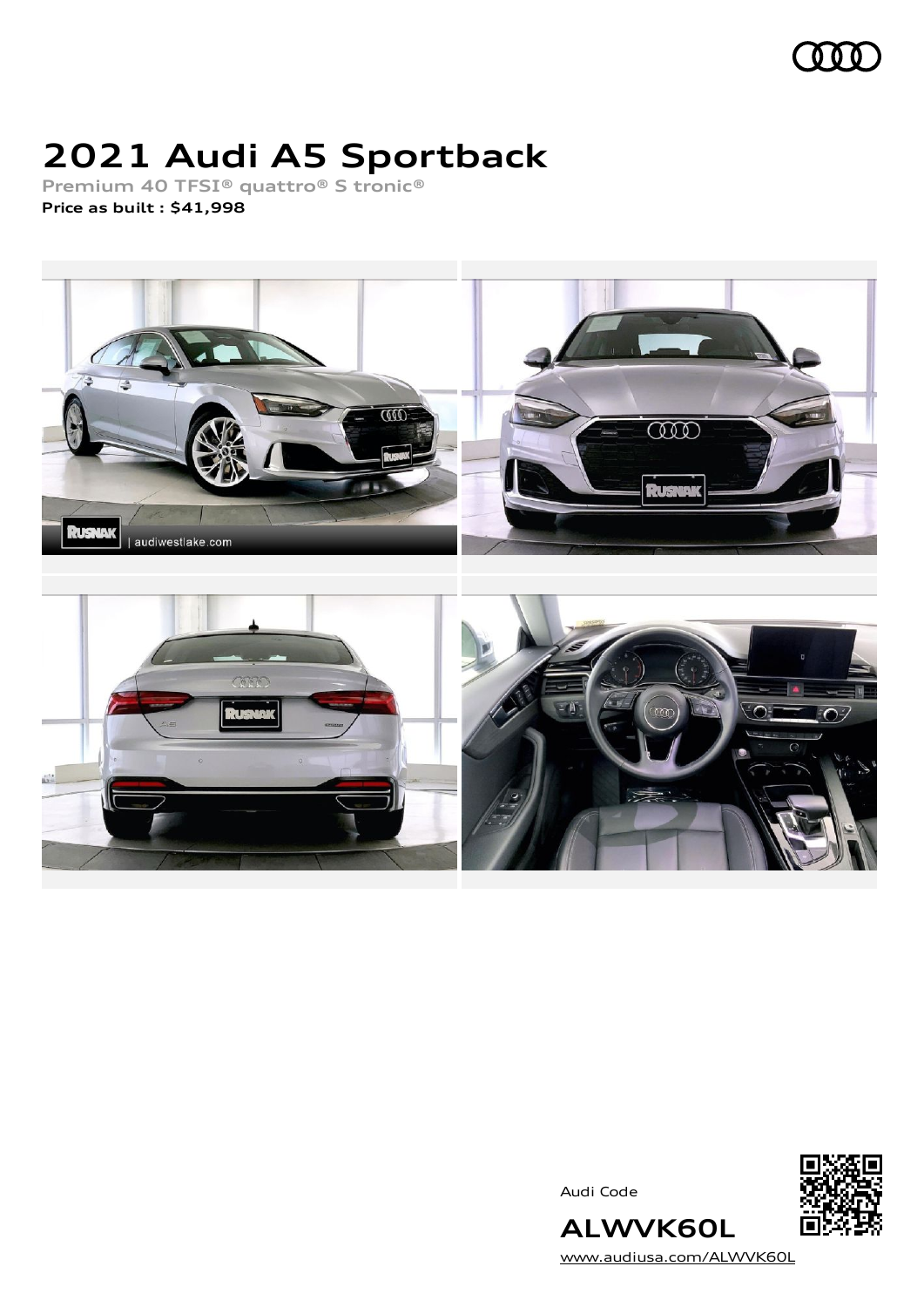

# **2021 Audi A5 Sportback**

**Premium 40 TFSI® quattro® S tronic® Price as built [:](#page-9-0) \$41,998**



Audi Code



[www.audiusa.com/ALWVK60L](https://www.audiusa.com/ALWVK60L)

**ALWVK60L**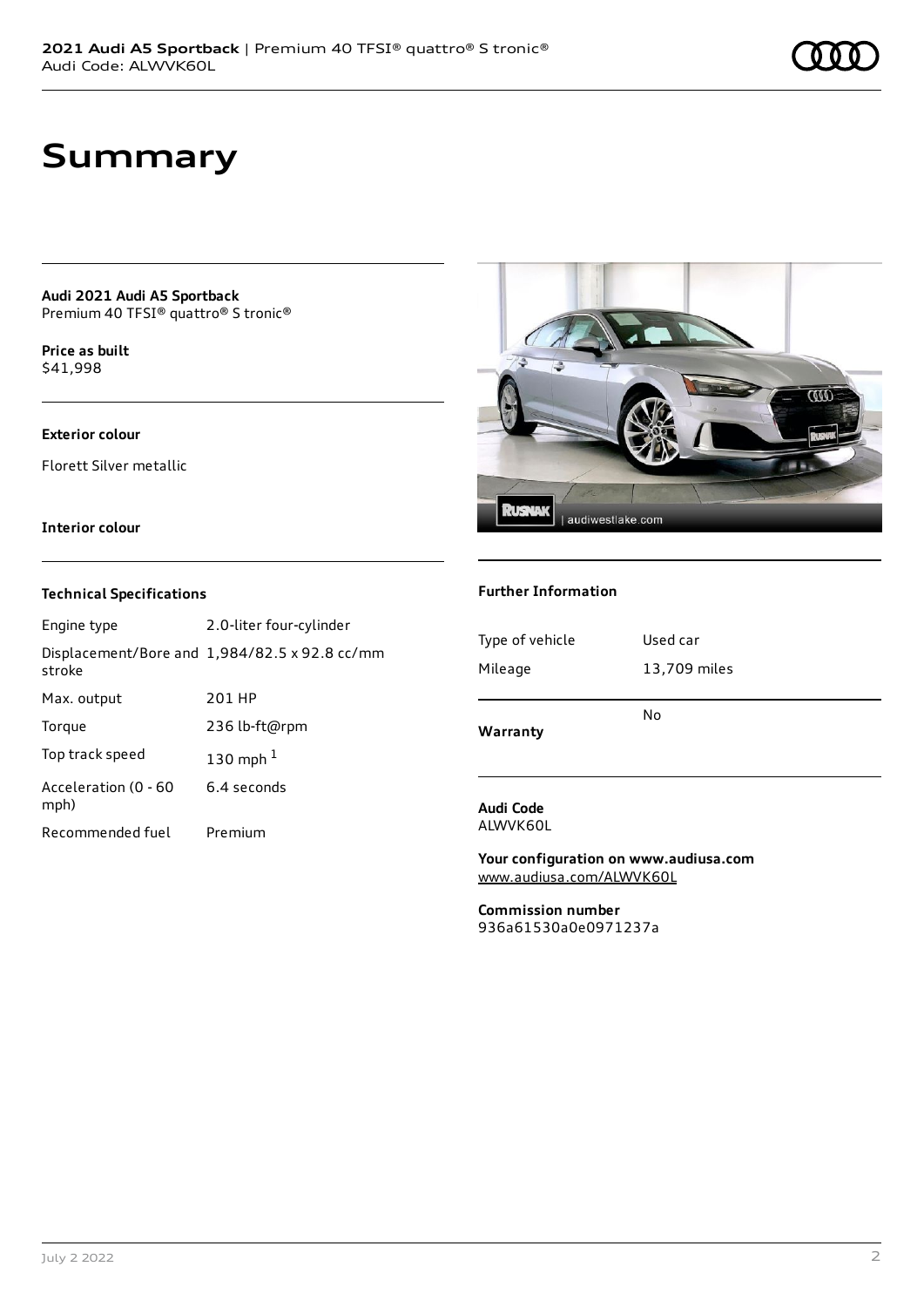### **Summary**

**Audi 2021 Audi A5 Sportback** Premium 40 TFSI® quattro® S tronic®

**Price as buil[t](#page-9-0)** \$41,998

#### **Exterior colour**

Florett Silver metallic

#### **Interior colour**

#### **Technical Specifications**

| Engine type                  | 2.0-liter four-cylinder                              |
|------------------------------|------------------------------------------------------|
| stroke                       | Displacement/Bore and $1,984/82.5 \times 92.8$ cc/mm |
| Max. output                  | 201 HP                                               |
| Torque                       | 236 lb-ft@rpm                                        |
| Top track speed              | 130 mph $1$                                          |
| Acceleration (0 - 60<br>mph) | 6.4 seconds                                          |
| Recommended fuel             | Premium                                              |



#### **Further Information**

| Type of vehicle | Used car     |
|-----------------|--------------|
| Mileage         | 13,709 miles |
| Warranty        | No           |

#### **Audi Code** ALWVK60L

**Your configuration on www.audiusa.com** [www.audiusa.com/ALWVK60L](https://www.audiusa.com/ALWVK60L)

**Commission number** 936a61530a0e0971237a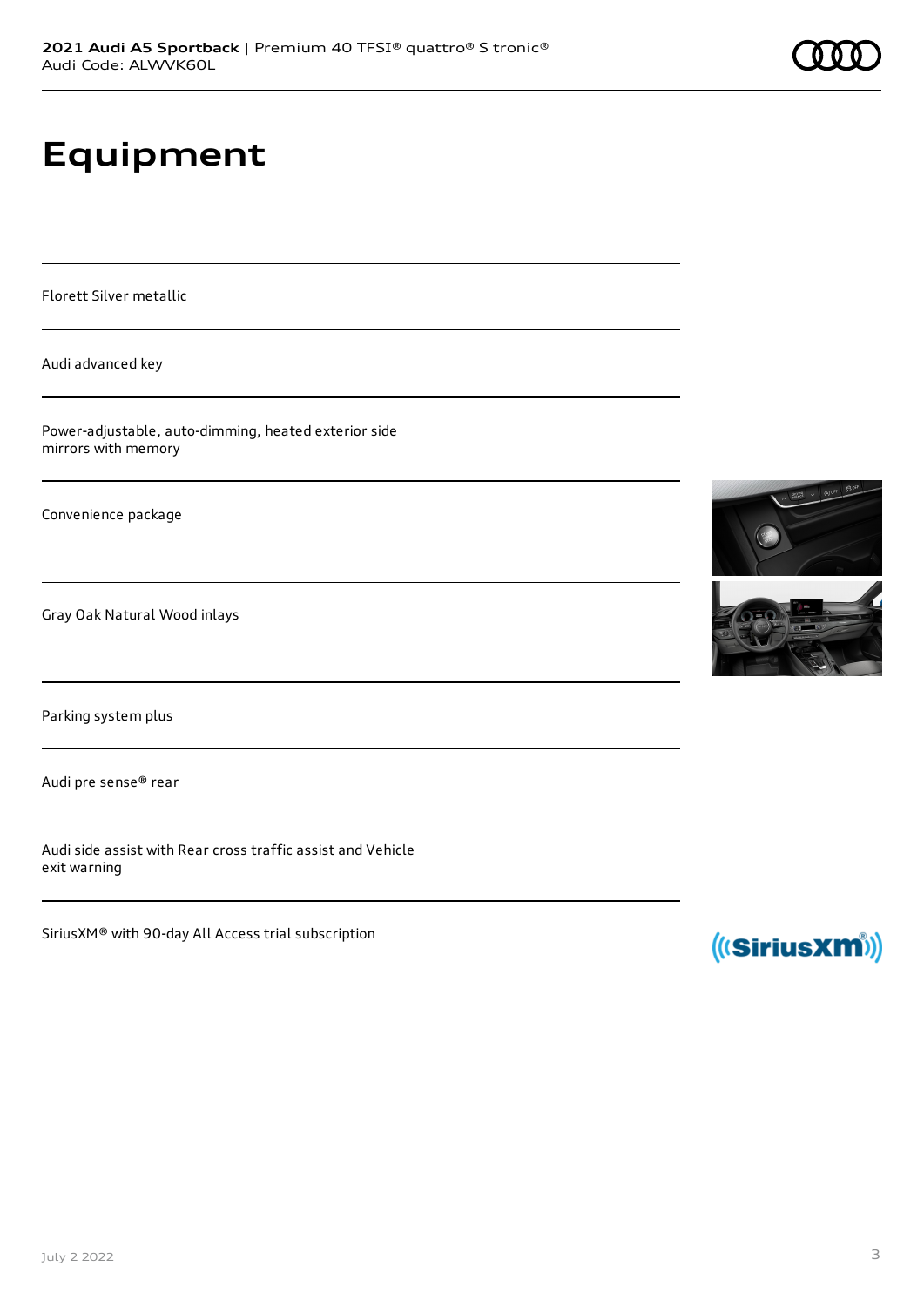# **Equipment**

Florett Silver metallic

Audi advanced key

Power-adjustable, auto-dimming, heated exterior side mirrors with memory

Convenience package

Gray Oak Natural Wood inlays

Parking system plus

Audi pre sense® rear

Audi side assist with Rear cross traffic assist and Vehicle exit warning

SiriusXM® with 90-day All Access trial subscription



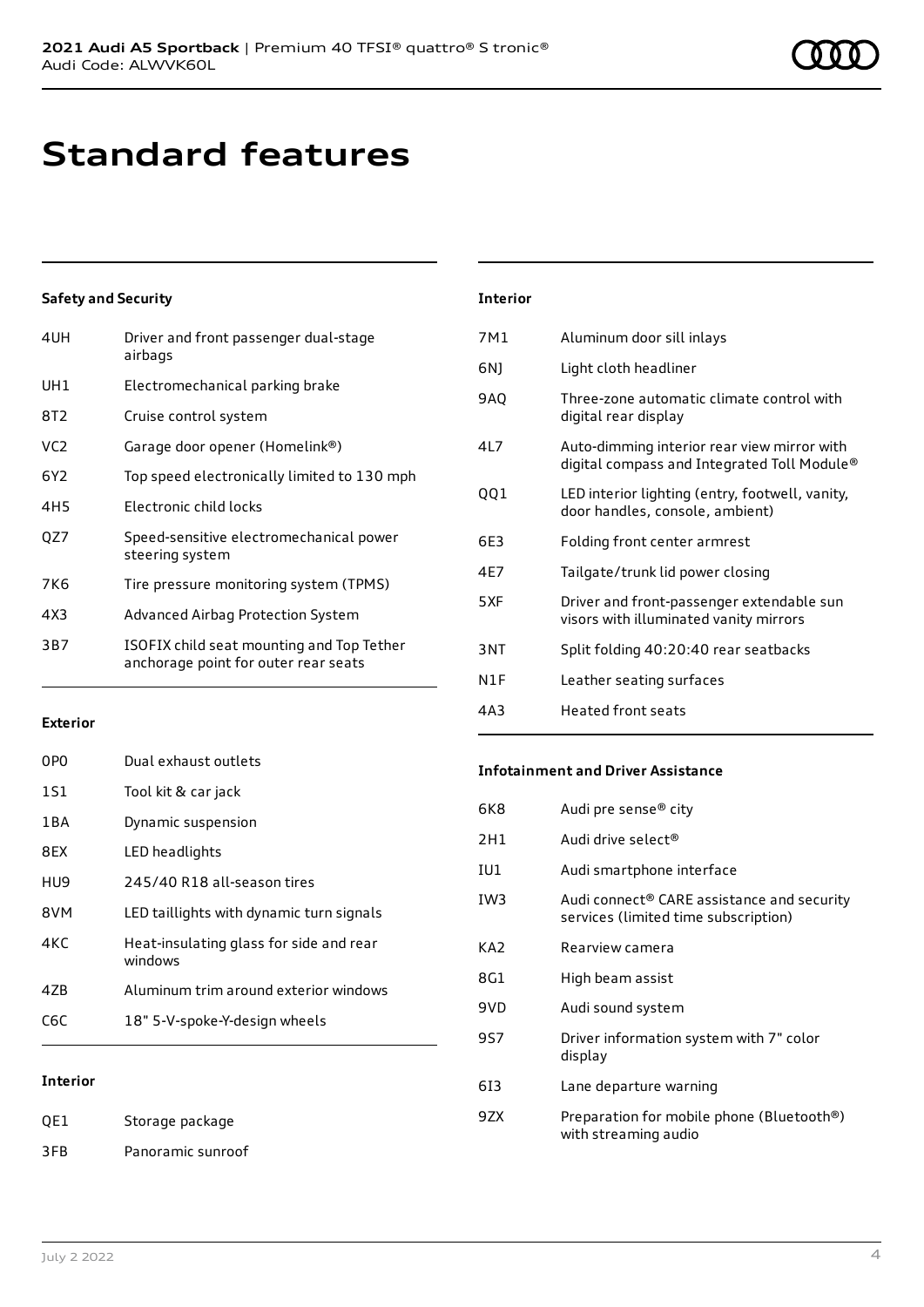### **Standard features**

#### **Safety and Security**

| 4UH             | Driver and front passenger dual-stage<br>airbags                                  |
|-----------------|-----------------------------------------------------------------------------------|
| UH1             | Electromechanical parking brake                                                   |
| 8T <sub>2</sub> | Cruise control system                                                             |
| VC <sub>2</sub> | Garage door opener (Homelink®)                                                    |
| 6Y <sub>2</sub> | Top speed electronically limited to 130 mph                                       |
| 4H <sub>5</sub> | Electronic child locks                                                            |
| QZ7             | Speed-sensitive electromechanical power<br>steering system                        |
| 7K6             | Tire pressure monitoring system (TPMS)                                            |
| 4X3             | Advanced Airbag Protection System                                                 |
| 3B7             | ISOFIX child seat mounting and Top Tether<br>anchorage point for outer rear seats |

### **Interior** 7M1 Aluminum door sill inlays 6NJ Light cloth headliner 9AQ Three-zone automatic climate control with digital rear display 4L7 Auto-dimming interior rear view mirror with digital compass and Integrated Toll Module® QQ1 LED interior lighting (entry, footwell, vanity, door handles, console, ambient) 6E3 Folding front center armrest 4E7 Tailgate/trunk lid power closing 5XF Driver and front-passenger extendable sun visors with illuminated vanity mirrors 3NT Split folding 40:20:40 rear seatbacks N1F Leather seating surfaces 4A3 Heated front seats

#### **Exterior**

| 0PO   | Dual exhaust outlets                               |
|-------|----------------------------------------------------|
| 1S1   | Tool kit & car jack                                |
| 1 B A | Dynamic suspension                                 |
| 8FX   | LED headlights                                     |
| HU9   | 245/40 R18 all-season tires                        |
| 8VM   | LED taillights with dynamic turn signals           |
| 4KC   | Heat-insulating glass for side and rear<br>windows |
| 47B   | Aluminum trim around exterior windows              |
| C6C   | 18" 5-V-spoke-Y-design wheels                      |
|       |                                                    |

#### **Interior**

| QE1 | Storage package   |
|-----|-------------------|
| 3FB | Panoramic sunroof |

#### **Infotainment and Driver Assistance**

| 6K8             | Audi pre sense® city                                                                           |
|-----------------|------------------------------------------------------------------------------------------------|
| 2H1             | Audi drive select®                                                                             |
| IU1             | Audi smartphone interface                                                                      |
| IW <sub>3</sub> | Audi connect <sup>®</sup> CARE assistance and security<br>services (limited time subscription) |
| KA <sub>2</sub> | Rearview camera                                                                                |
| 8G1             | High beam assist                                                                               |
| 9VD             | Audi sound system                                                                              |
| 9S7             | Driver information system with 7" color<br>display                                             |
| 613             | Lane departure warning                                                                         |
| 9ZX             | Preparation for mobile phone (Bluetooth®)<br>with streaming audio                              |
|                 |                                                                                                |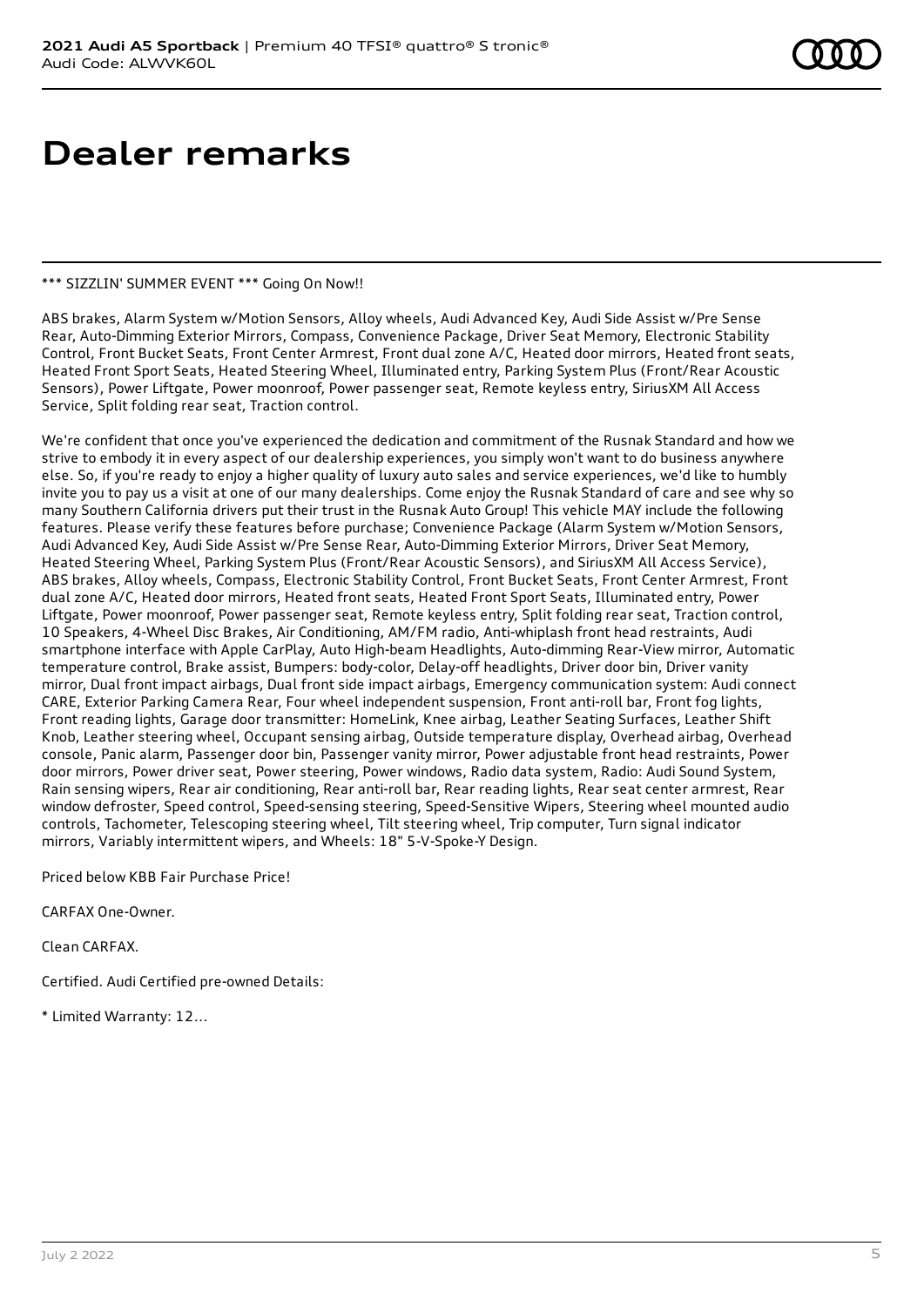# **Dealer remarks**

#### \*\*\* SIZZLIN' SUMMER EVENT \*\*\* Going On Now!!

ABS brakes, Alarm System w/Motion Sensors, Alloy wheels, Audi Advanced Key, Audi Side Assist w/Pre Sense Rear, Auto-Dimming Exterior Mirrors, Compass, Convenience Package, Driver Seat Memory, Electronic Stability Control, Front Bucket Seats, Front Center Armrest, Front dual zone A/C, Heated door mirrors, Heated front seats, Heated Front Sport Seats, Heated Steering Wheel, Illuminated entry, Parking System Plus (Front/Rear Acoustic Sensors), Power Liftgate, Power moonroof, Power passenger seat, Remote keyless entry, SiriusXM All Access Service, Split folding rear seat, Traction control.

We're confident that once you've experienced the dedication and commitment of the Rusnak Standard and how we strive to embody it in every aspect of our dealership experiences, you simply won't want to do business anywhere else. So, if you're ready to enjoy a higher quality of luxury auto sales and service experiences, we'd like to humbly invite you to pay us a visit at one of our many dealerships. Come enjoy the Rusnak Standard of care and see why so many Southern California drivers put their trust in the Rusnak Auto Group! This vehicle MAY include the following features. Please verify these features before purchase; Convenience Package (Alarm System w/Motion Sensors, Audi Advanced Key, Audi Side Assist w/Pre Sense Rear, Auto-Dimming Exterior Mirrors, Driver Seat Memory, Heated Steering Wheel, Parking System Plus (Front/Rear Acoustic Sensors), and SiriusXM All Access Service), ABS brakes, Alloy wheels, Compass, Electronic Stability Control, Front Bucket Seats, Front Center Armrest, Front dual zone A/C, Heated door mirrors, Heated front seats, Heated Front Sport Seats, Illuminated entry, Power Liftgate, Power moonroof, Power passenger seat, Remote keyless entry, Split folding rear seat, Traction control, 10 Speakers, 4-Wheel Disc Brakes, Air Conditioning, AM/FM radio, Anti-whiplash front head restraints, Audi smartphone interface with Apple CarPlay, Auto High-beam Headlights, Auto-dimming Rear-View mirror, Automatic temperature control, Brake assist, Bumpers: body-color, Delay-off headlights, Driver door bin, Driver vanity mirror, Dual front impact airbags, Dual front side impact airbags, Emergency communication system: Audi connect CARE, Exterior Parking Camera Rear, Four wheel independent suspension, Front anti-roll bar, Front fog lights, Front reading lights, Garage door transmitter: HomeLink, Knee airbag, Leather Seating Surfaces, Leather Shift Knob, Leather steering wheel, Occupant sensing airbag, Outside temperature display, Overhead airbag, Overhead console, Panic alarm, Passenger door bin, Passenger vanity mirror, Power adjustable front head restraints, Power door mirrors, Power driver seat, Power steering, Power windows, Radio data system, Radio: Audi Sound System, Rain sensing wipers, Rear air conditioning, Rear anti-roll bar, Rear reading lights, Rear seat center armrest, Rear window defroster, Speed control, Speed-sensing steering, Speed-Sensitive Wipers, Steering wheel mounted audio controls, Tachometer, Telescoping steering wheel, Tilt steering wheel, Trip computer, Turn signal indicator mirrors, Variably intermittent wipers, and Wheels: 18" 5-V-Spoke-Y Design.

Priced below KBB Fair Purchase Price!

CARFAX One-Owner.

Clean CARFAX.

Certified. Audi Certified pre-owned Details:

\* Limited Warranty: 12...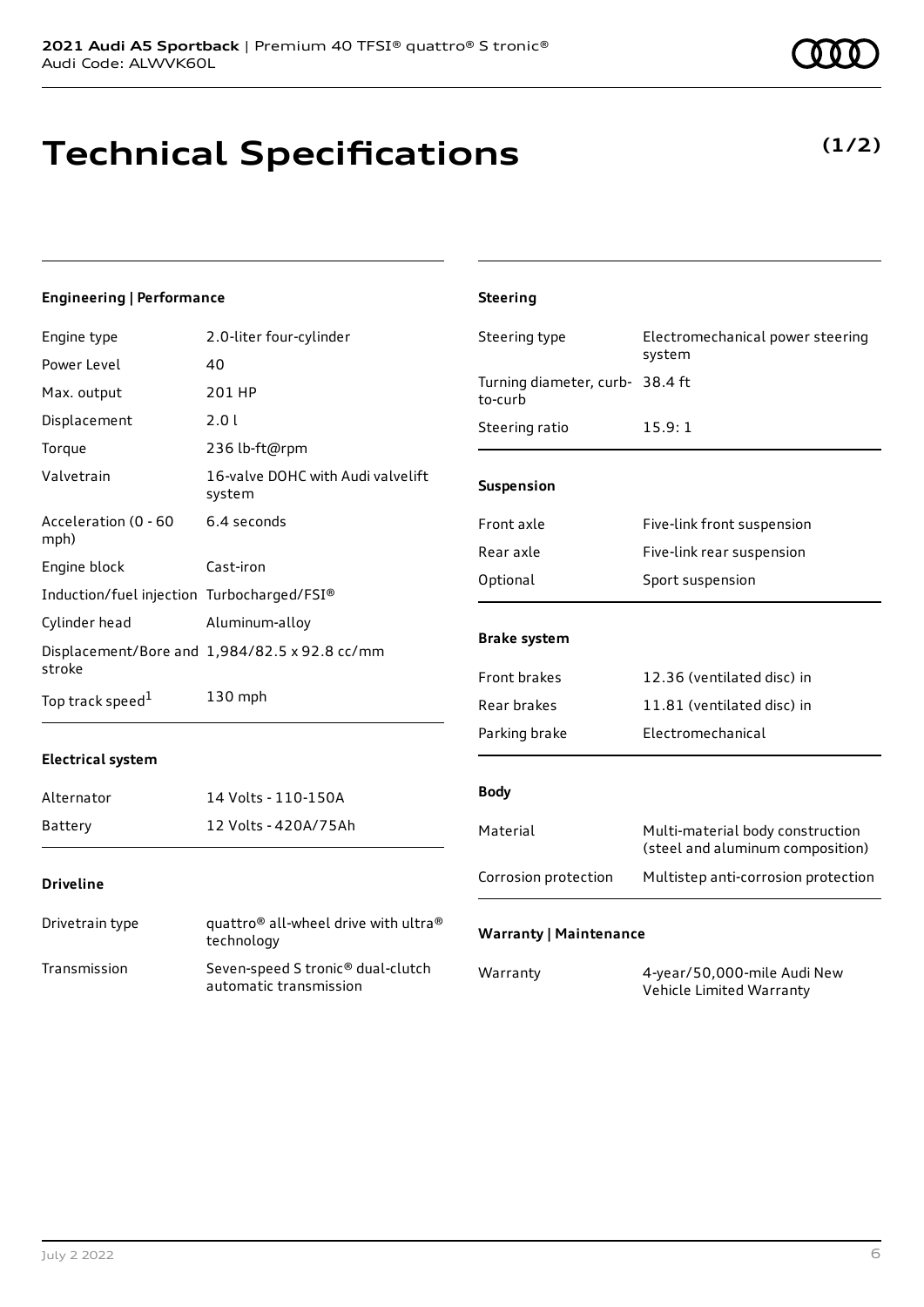**(1/2)**

### **Technical Specifications**

#### **Engineering | Performance**

| Engine type                                | 2.0-liter four-cylinder                                     | Steering type                              | Electromechanical power steering<br>system                           |
|--------------------------------------------|-------------------------------------------------------------|--------------------------------------------|----------------------------------------------------------------------|
| Power Level                                | 40                                                          |                                            |                                                                      |
| Max. output                                | 201 HP                                                      | Turning diameter, curb- 38.4 ft<br>to-curb |                                                                      |
| Displacement                               | 2.0 l                                                       | Steering ratio                             | 15.9:1                                                               |
| Torque                                     | 236 lb-ft@rpm                                               |                                            |                                                                      |
| Valvetrain                                 | 16-valve DOHC with Audi valvelift<br>system                 | Suspension                                 |                                                                      |
| Acceleration (0 - 60<br>mph)               | 6.4 seconds                                                 | Front axle                                 | Five-link front suspension                                           |
| Engine block                               | Cast-iron                                                   | Rear axle                                  | Five-link rear suspension                                            |
|                                            |                                                             | Optional                                   | Sport suspension                                                     |
| Induction/fuel injection Turbocharged/FSI® |                                                             |                                            |                                                                      |
| Cylinder head                              | Aluminum-alloy                                              |                                            |                                                                      |
| stroke                                     | Displacement/Bore and 1,984/82.5 x 92.8 cc/mm               | <b>Brake system</b>                        |                                                                      |
|                                            |                                                             | Front brakes                               | 12.36 (ventilated disc) in                                           |
| Top track speed <sup>1</sup>               | 130 mph                                                     | Rear brakes                                | 11.81 (ventilated disc) in                                           |
|                                            |                                                             | Parking brake                              | Electromechanical                                                    |
| <b>Electrical system</b>                   |                                                             |                                            |                                                                      |
| Alternator                                 | 14 Volts - 110-150A                                         | <b>Body</b>                                |                                                                      |
| <b>Battery</b>                             | 12 Volts - 420A/75Ah                                        | Material                                   | Multi-material body construction<br>(steel and aluminum composition) |
| <b>Driveline</b>                           |                                                             | Corrosion protection                       | Multistep anti-corrosion protection                                  |
| Drivetrain type                            | quattro® all-wheel drive with ultra®<br>technology          | <b>Warranty   Maintenance</b>              |                                                                      |
| Transmission                               | Seven-speed S tronic® dual-clutch<br>automatic transmission | Warranty                                   | 4-year/50,000-mile Audi New<br>Vehicle Limited Warranty              |

**Steering**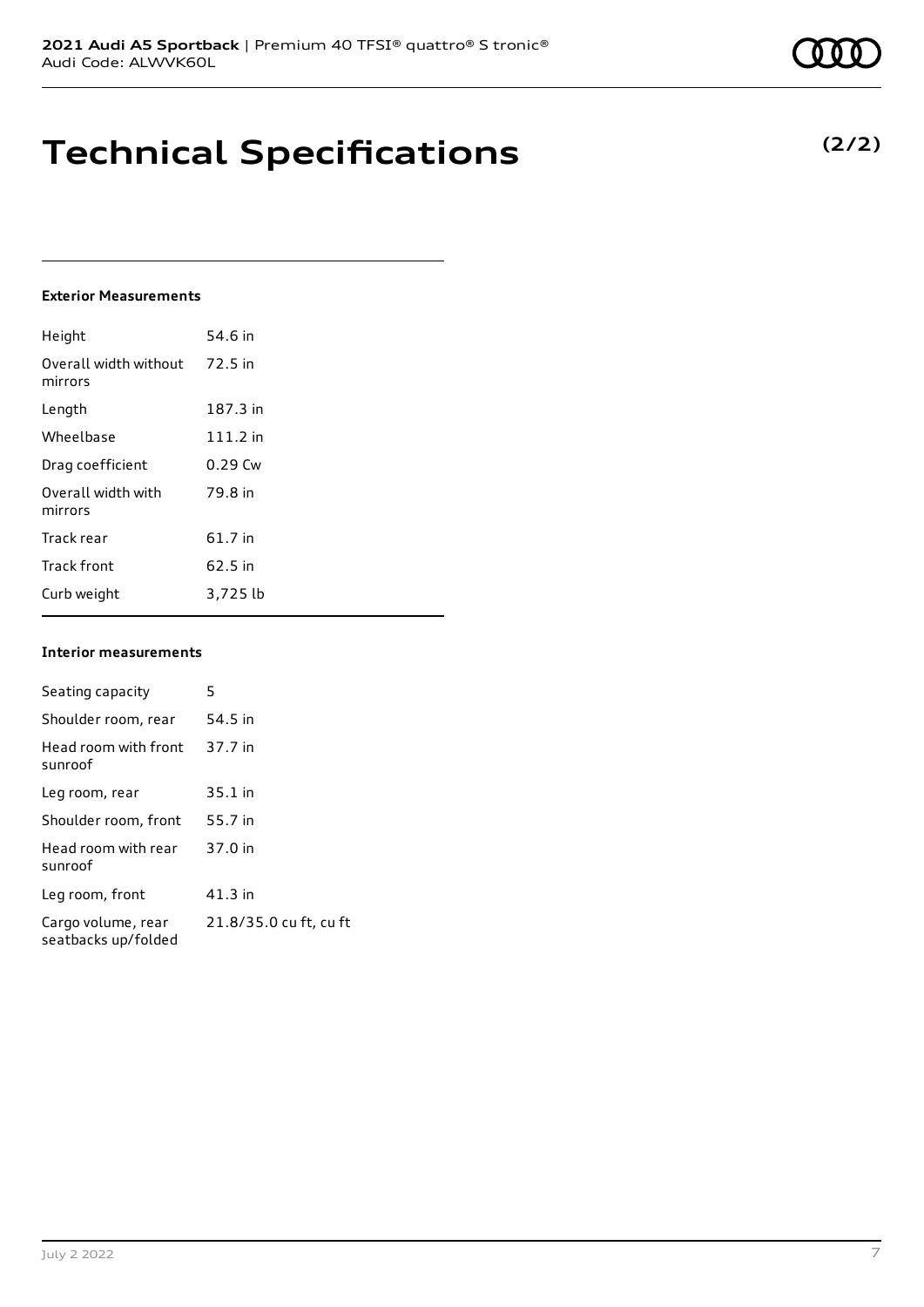### **Technical Specifications**

#### **Exterior Measurements**

| Height                           | 54.6 in    |
|----------------------------------|------------|
| Overall width without<br>mirrors | 72.5 in    |
| Length                           | 187.3 in   |
| Wheelbase                        | $111.2$ in |
| Drag coefficient                 | $0.29$ Cw  |
| Overall width with<br>mirrors    | 79.8 in    |
| Track rear                       | 61.7 in    |
| <b>Track front</b>               | 62.5 in    |
| Curb weight                      | 3,725 lb   |

#### **Interior measurements**

| Seating capacity                          | 5                      |
|-------------------------------------------|------------------------|
| Shoulder room, rear                       | 54.5 in                |
| Head room with front<br>sunroof           | 37.7 in                |
| Leg room, rear                            | $35.1$ in              |
| Shoulder room, front                      | 55.7 in                |
| Head room with rear<br>sunroof            | 37.0 in                |
| Leg room, front                           | $41.3$ in              |
| Cargo volume, rear<br>seatbacks up/folded | 21.8/35.0 cu ft, cu ft |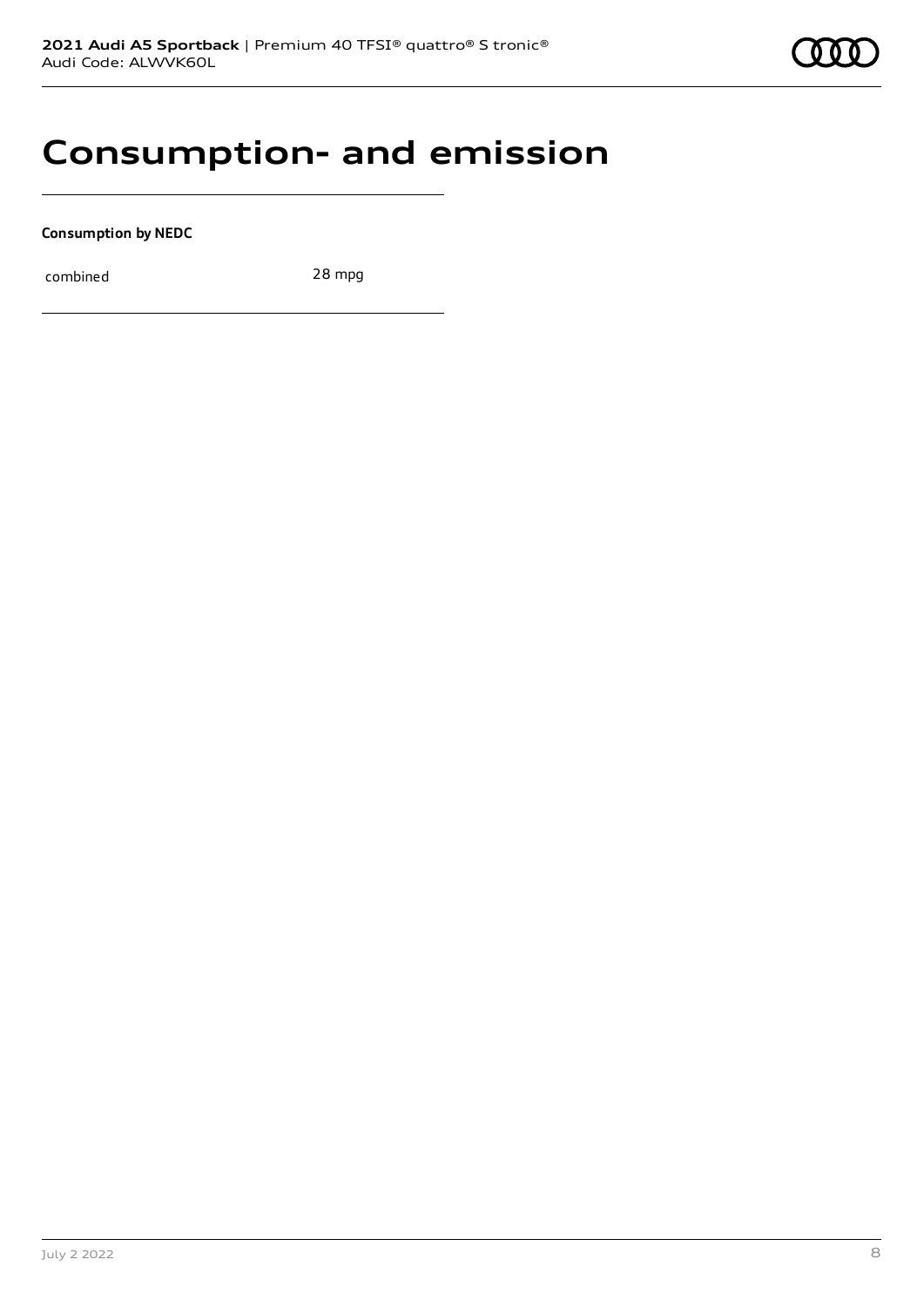### **Consumption- and emission**

**Consumption by NEDC**

combined 28 mpg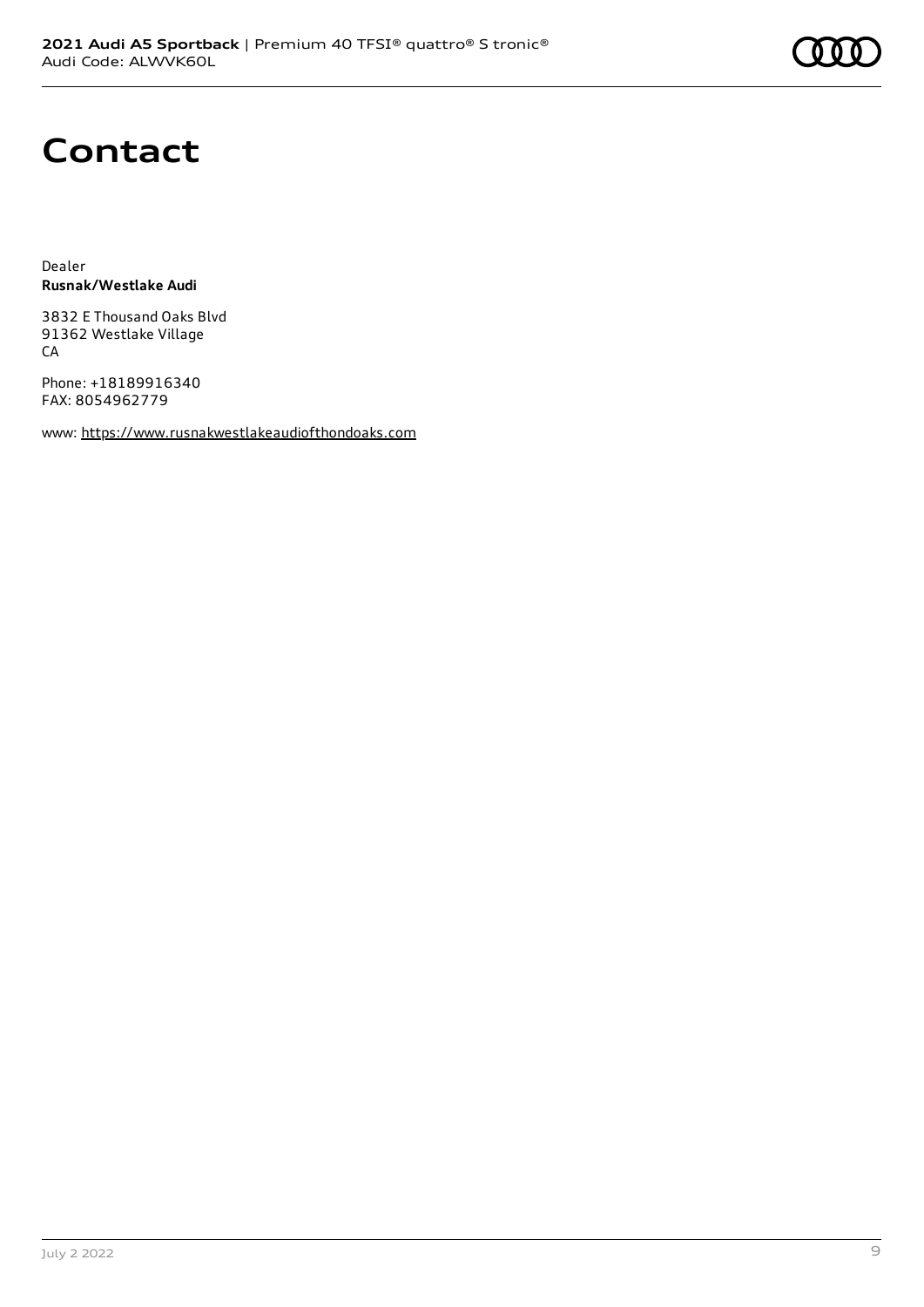## **Contact**

Dealer **Rusnak/Westlake Audi**

3832 E Thousand Oaks Blvd 91362 Westlake Village CA

Phone: +18189916340 FAX: 8054962779

www: [https://www.rusnakwestlakeaudiofthondoaks.com](https://www.rusnakwestlakeaudiofthondoaks.com/)